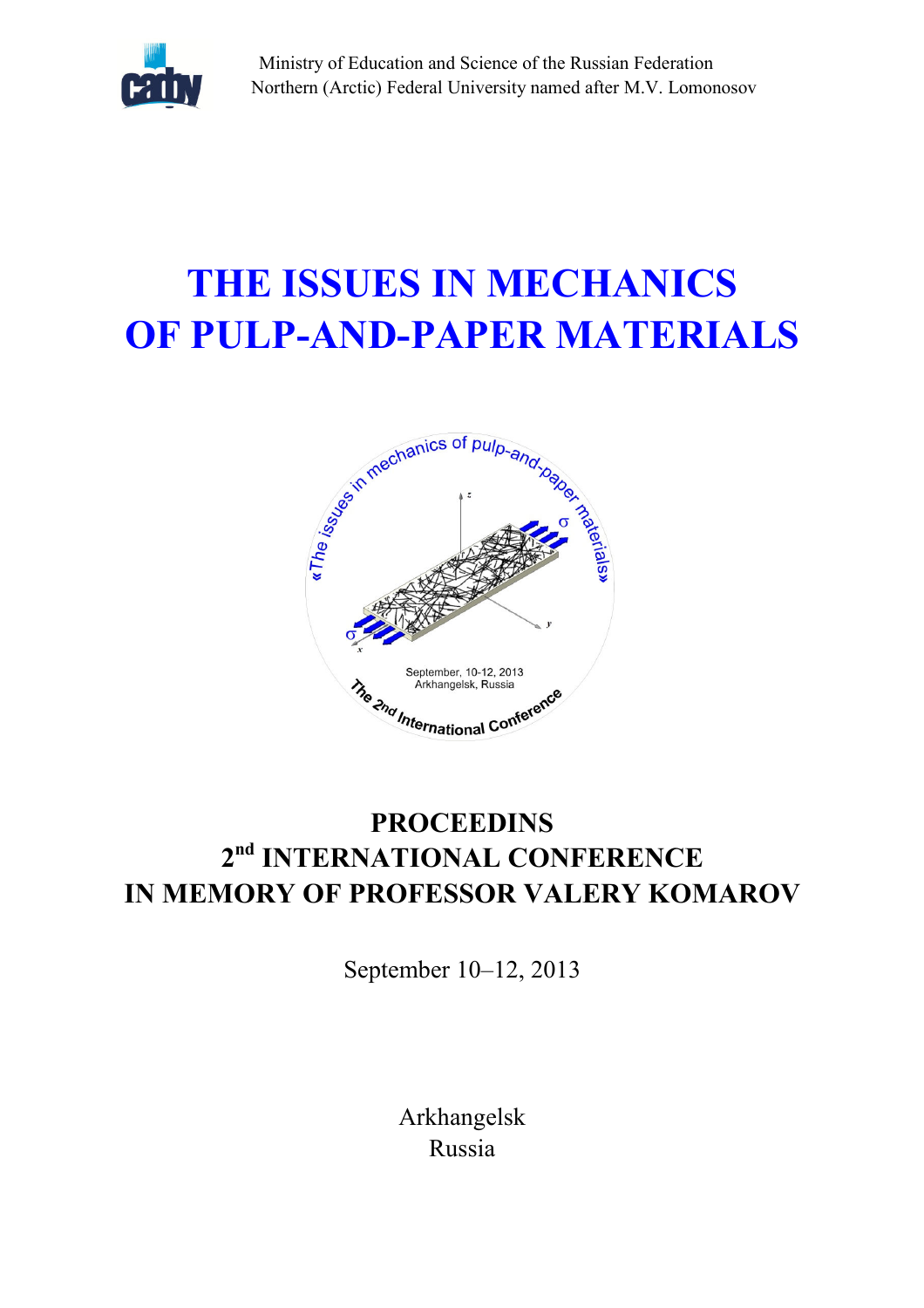

Ministry of Education and Science of the Russian Federation Northern (Arctic) Federal University named after M.V. Lomonosov

# THE ISSUES IN MECHANICS OF PULP-AND-PAPER MATERIALS



# **PROCEEDINS** 2<sup>nd</sup> INTERNATIONAL CONFERENCE IN MEMORY OF PROFESSOR VALERY KOMAROV

September 10–12, 2013

Arkhangelsk Russia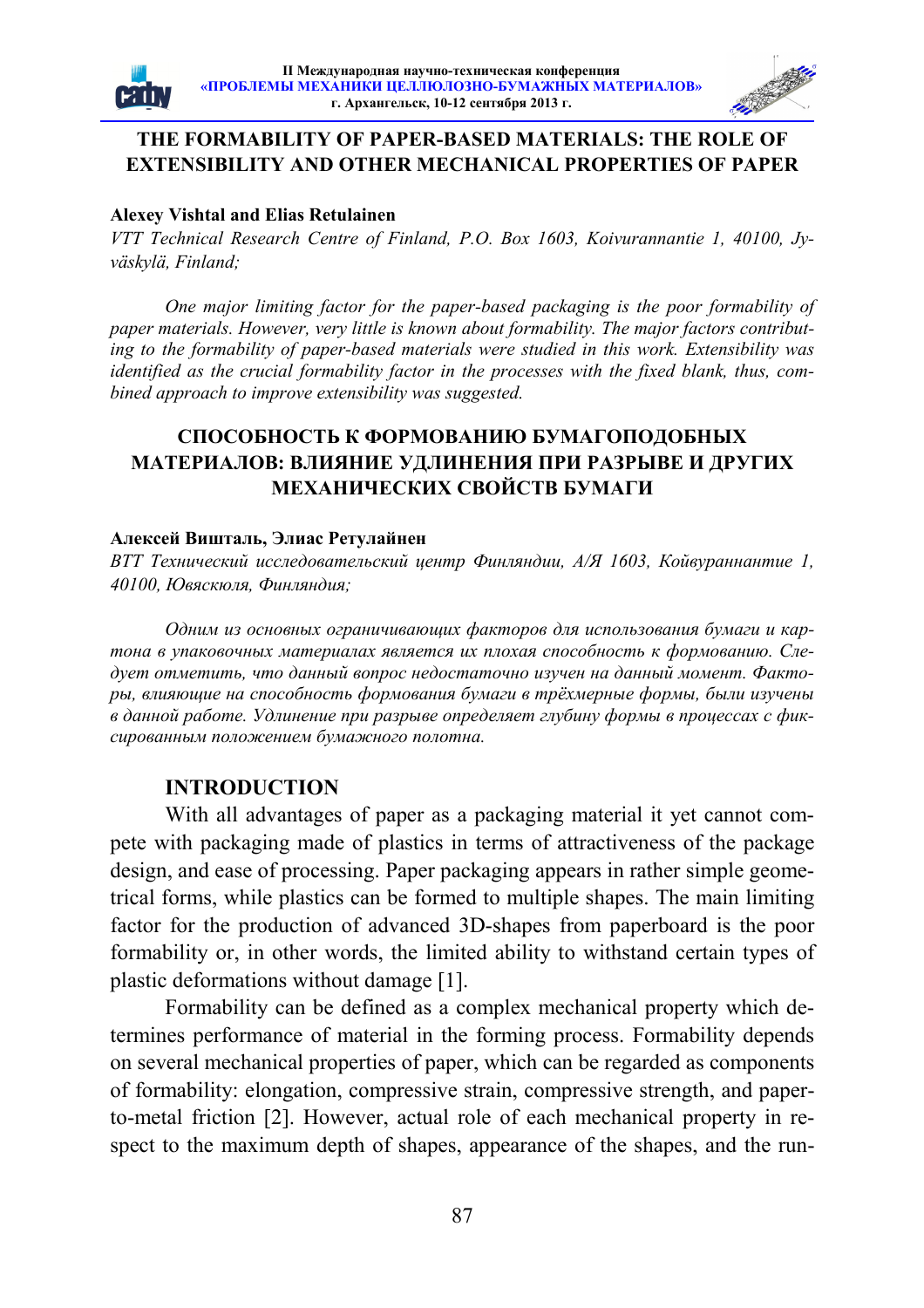



#### THE FORMABILITY OF PAPER-BASED MATERIALS: THE ROLE OF EXTENSIBILITY AND OTHER MECHANICAL PROPERTIES OF PAPER

#### Alexey Vishtal and Elias Retulainen

VTT Technical Research Centre of Finland, P.O. Box 1603, Koivurannantie 1, 40100, Jyväskylä, Finland;

One major limiting factor for the paper-based packaging is the poor formability of paper materials. However, very little is known about formability. The major factors contributing to the formability of paper-based materials were studied in this work. Extensibility was identified as the crucial formability factor in the processes with the fixed blank, thus, combined approach to improve extensibility was suggested.

### СПОСОБНОСТЬ К ФОРМОВАНИЮ БУМАГОПОДОБНЫХ МАТЕРИАЛОВ: ВЛИЯНИЕ УДЛИНЕНИЯ ПРИ РАЗРЫВЕ И ДРУГИХ МЕХАНИЧЕСКИХ СВОЙСТВ БУМАГИ

#### Алексей Вишталь, Элиас Ретулайнен

ВТТ Технический исследовательский центр Финляндии, А/Я 1603, Койвураннантие 1, 40100, Ювяскюля, Финляндия;

Одним из основных ограничивающих факторов для использования бумаги и картона в упаковочных материалах является их плохая способность к формованию. Следует отметить, что данный вопрос недостаточно изучен на данный момент. Факторы, влияющие на способность формования бумаги в трёхмерные формы, были изучены в данной работе. Удлинение при разрыве определяет глубину формы в процессах с фиксированным положением бумажного полотна.

#### **INTRODUCTION**

With all advantages of paper as a packaging material it yet cannot compete with packaging made of plastics in terms of attractiveness of the package design, and ease of processing. Paper packaging appears in rather simple geometrical forms, while plastics can be formed to multiple shapes. The main limiting factor for the production of advanced 3D-shapes from paperboard is the poor formability or, in other words, the limited ability to withstand certain types of plastic deformations without damage [1].

Formability can be defined as a complex mechanical property which determines performance of material in the forming process. Formability depends on several mechanical properties of paper, which can be regarded as components of formability: elongation, compressive strain, compressive strength, and paperto-metal friction [2]. However, actual role of each mechanical property in respect to the maximum depth of shapes, appearance of the shapes, and the run-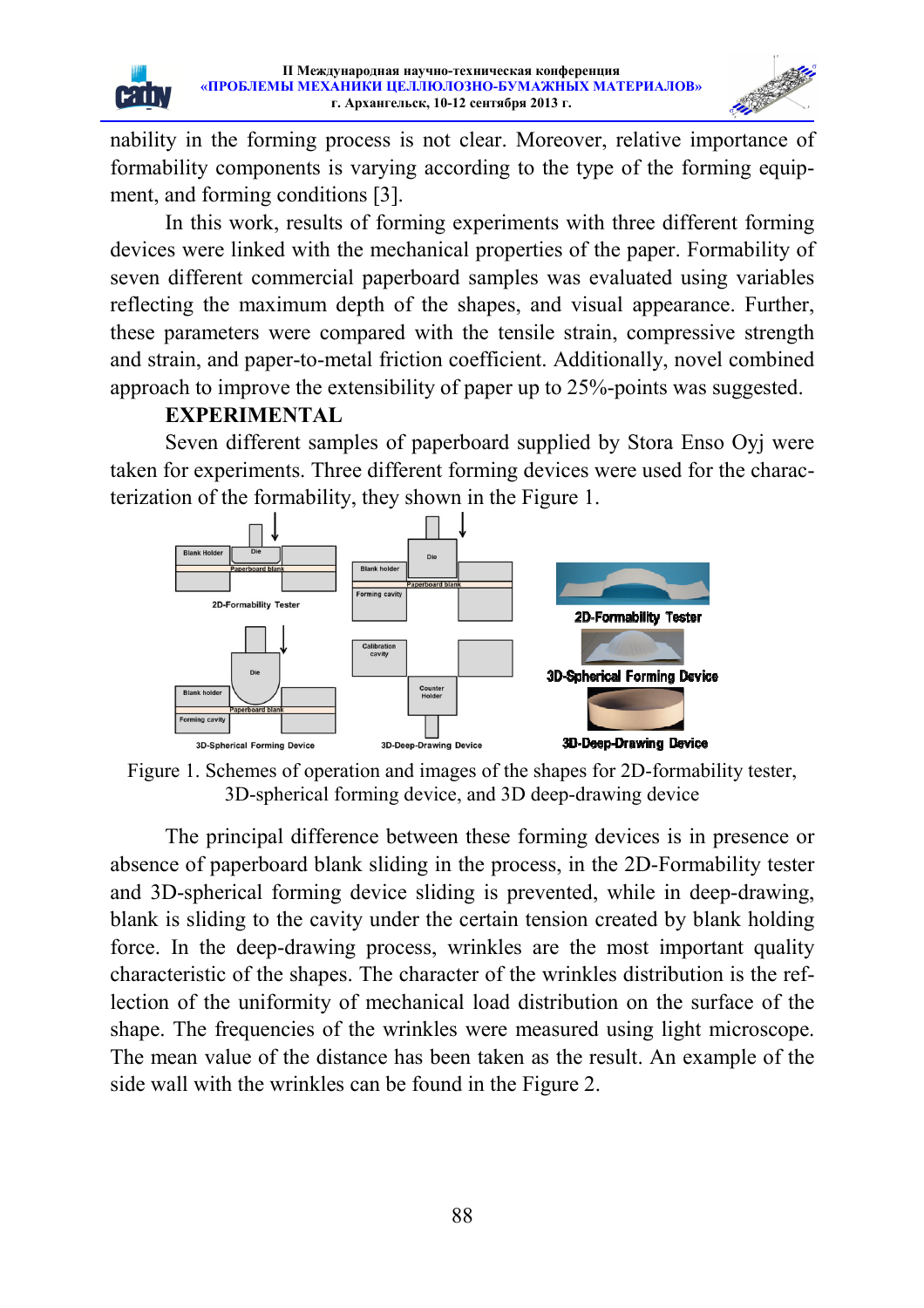

nability in the forming process is not clear. Moreover, relative importance of formability components is varying according to the type of the forming equipment, and forming conditions [3].

In this work, results of forming experiments with three different forming devices were linked with the mechanical properties of the paper. Formability of seven different commercial paperboard samples was evaluated using variables reflecting the maximum depth of the shapes, and visual appearance. Further, these parameters were compared with the tensile strain, compressive strength and strain, and paper-to-metal friction coefficient. Additionally, novel combined approach to improve the extensibility of paper up to 25% 25%-points was suggested.

### **EXPERIMENTAL**

 $[$   $\mathsf{H}$   $\mathsf{H}$   $\mathsf{H}$ 

Seven different samples of paperboard supplied by Stora Enso Oyj were taken for experiments. Three different forming devices were used for the chara terization of the formability, they shown in the Figure 1. fficient. Additionally, novel combined<br>aper up to 25%-points was suggested.<br>ard supplied by Stora Enso Oyj were<br>ming devices were used for the charac-



Figure 1. Schemes of operation and images of the shapes for 2D-formability tester,<br>3D-spherical forming device, and 3D deep-drawing device 3D-spherical forming device, and 3D deep-drawing device

The principal difference between these forming devices is in presence or absence of paperboard blank sliding in the process, in the 2D 2D-Formability tester absence of paperboard blank sliding in the process, in the 2D-Formability tester and 3D-spherical forming device sliding is prevented, while in deep-drawing, blank is sliding to the cavity under the certain tension created by blank holding force. In the deep-drawing process, wrinkles are the most important quality characteristic of the shapes. The character of the wrinkles distribution is the reflection of the uniformity of mechanical load distribution on the surface of the shape. The frequencies of the wrinkles were measured using light microscope. The mean value of the distance has been taken as the result. An example of the side wall with the wrinkles can be found in the Figure Figure 2. spherical forming device sliding is prevented, while in deep-drawing sliding to the cavity under the certain tension created by blank holdin<br>i the deep-drawing process, wrinkles are the most important quality ristic of the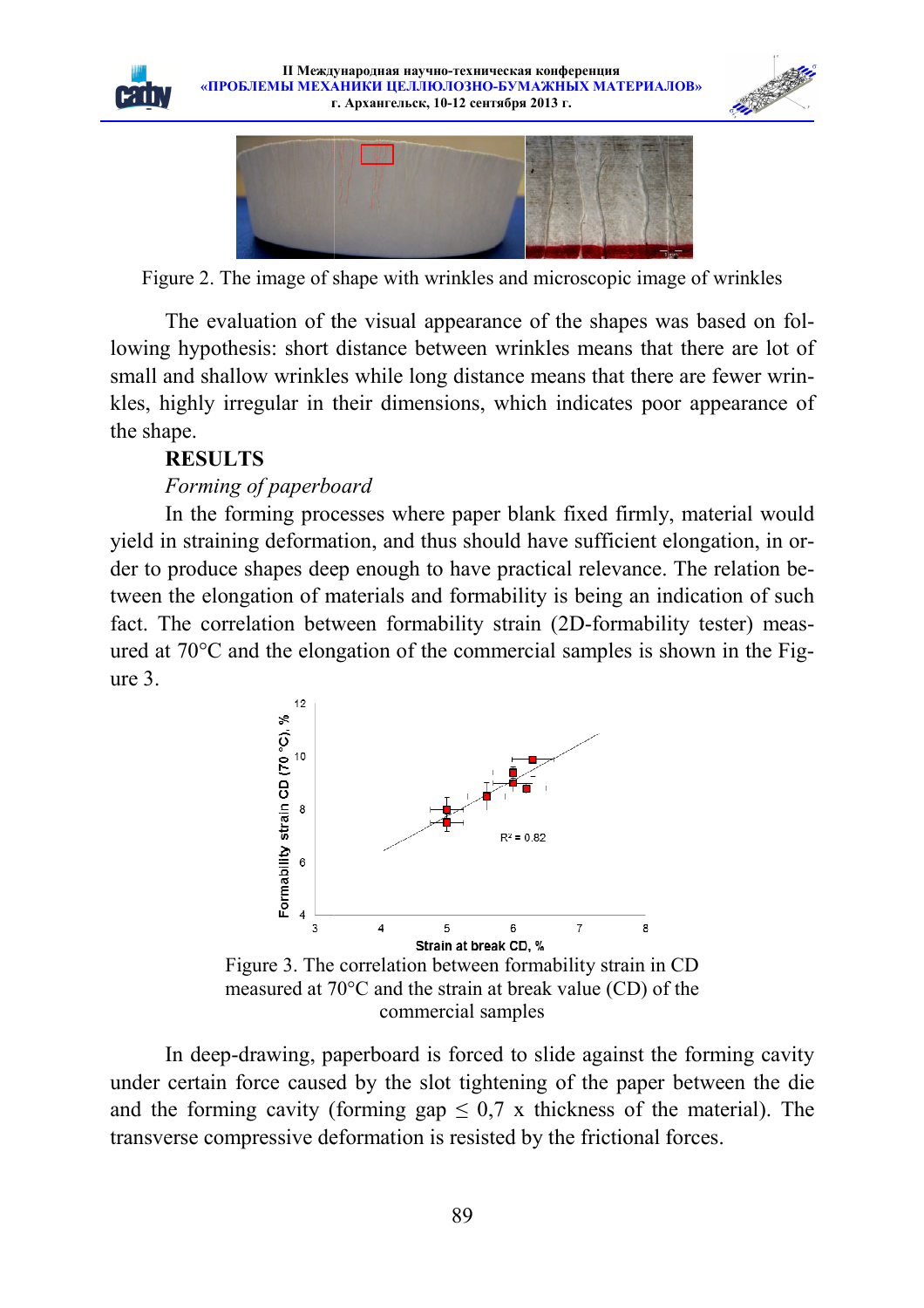





Figure 2. The image of shape with wrinkles and microscopic image of wrinkles

The evaluation of the visual appearance of the shapes was based on following hypothesis: short distance between wrinkles means that there are lot of small and shallow wrinkles while long distance means that there are fewer wrinkles, highly irregular in their dimensions, which indicates poor appearance of the shape.

# **RESULTS**

### Forming of paperboard

In the forming processes where paper blank fixed firmly, material would yield in straining deformation, and thus should have sufficient elongation, in order to produce shapes deep enough to have practical relevance. The relation between the elongation of materials and formability is being an indication of such fact. The correlation between formability strain (2D-formability tester) measured at 70°C and the elongation of the commercial samples is shown in the Fi Figure 3. strongwise that the symmetric term and the symmetric state of the symmetric state of the symmetric state of the symmetric set of the symmetric conduction of the visual appearance of the shapes was based on following<br>the c



measured at 70°C and the strain at break value (CD) of the commercial samples

In deep-drawing, paperboard is forced to slide against the forming cavity In deep-drawing, paperboard is forced to slide against the forming cavity under certain force caused by the slot tightening of the paper between the die and the forming cavity (forming gap  $\leq 0.7$  x thickness of the material). The transverse compressive deformation is resisted by the frictional forces.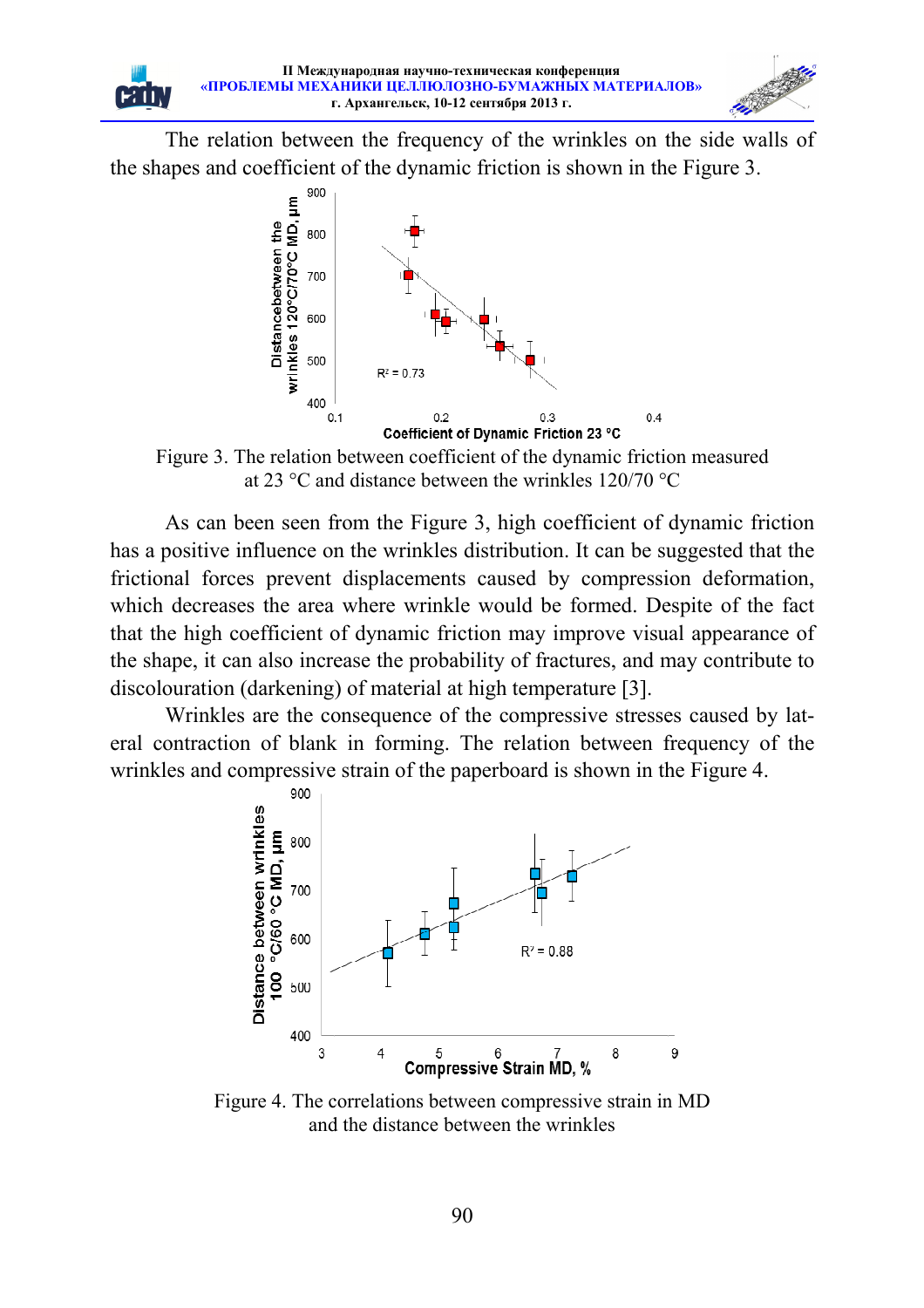The relation between the frequency of the wrinkles on the side walls of the shapes and coefficient of the dynamic friction is shown in the Figure 3 3.



Figure 3. The relation between coefficient of the dynamic friction measured at 23 °C and distance between the wrinkles 120/70 °C

As can been seen from the Figure 3, high coefficient of dynamic friction has a positive influence on the wrinkles distribution. It can be suggested that the frictional forces prevent displacements caused by compression deformation, which decreases the area where wrinkle would be formed. Despite of the fact that the high coefficient of dynamic friction may improve visual appearanc the shape, it can also increase the probability of fractures, and may contribute to discolouration (darkening) of material at high temperature [3]. , high coefficient of dynamic friction<br>stribution. It can be suggested that the<br>aused by compression deformation,<br>would be formed. Despite of the fact<br>on may improve visual appearance of

Wrinkles are the consequence of the compressive stresses caused by lateral contraction of blank in forming. The relation between frequency of the wrinkles and compressive strain of the paperboard is shown in the Figure 4.



Figure 4. The correlations between compressive strain in MD and the distance between the wrinkles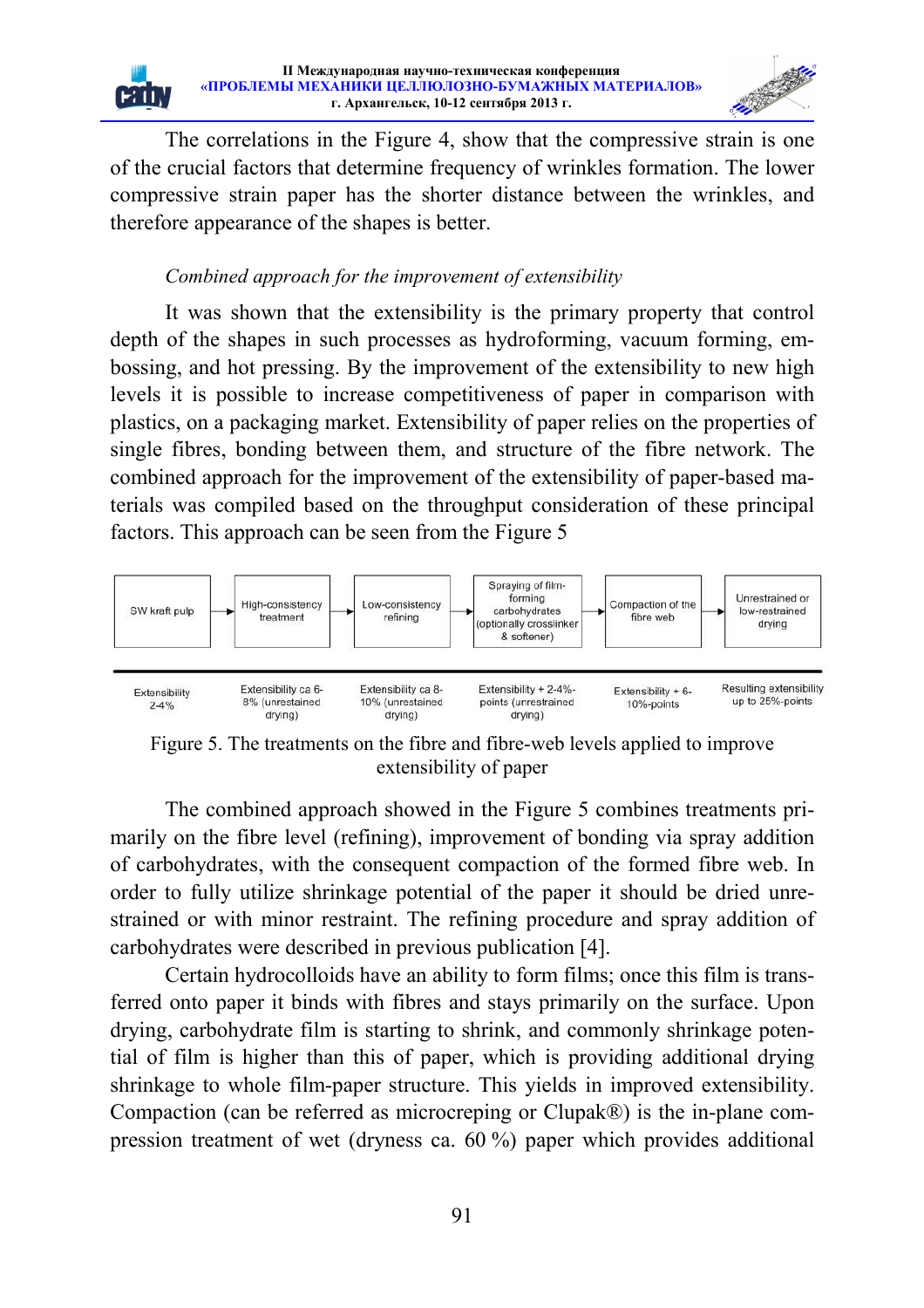

The correlations in the Figure 4, show that the compressive strain is one of the crucial factors that determine frequency of wrinkles formation. The lower compressive strain paper has the shorter distance between the wrinkles, and therefore appearance of the shapes is better.

### Combined approach for the improvement of extensibility

ÈĤ

It was shown that the extensibility is the primary property that control depth of the shapes in such processes as hydroforming, vacuum forming, embossing, and hot pressing. By the improvement of the extensibility to new high levels it is possible to increase competitiveness of paper in comparison with plastics, on a packaging market. Extensibility of paper relies on the properties of single fibres, bonding between them, and structure of the fibre network. The combined approach for the improvement of the extensibility of paper-based materials was compiled based on the throughput consideration of these principal factors. This approach can be seen from the Figure 5



Figure 5. The treatments on the fibre and fibre-web levels applied to improve extensibility of paper

The combined approach showed in the Figure 5 combines treatments primarily on the fibre level (refining), improvement of bonding via spray addition of carbohydrates, with the consequent compaction of the formed fibre web. In order to fully utilize shrinkage potential of the paper it should be dried unrestrained or with minor restraint. The refining procedure and spray addition of carbohydrates were described in previous publication [4].

Certain hydrocolloids have an ability to form films; once this film is transferred onto paper it binds with fibres and stays primarily on the surface. Upon drying, carbohydrate film is starting to shrink, and commonly shrinkage potential of film is higher than this of paper, which is providing additional drying shrinkage to whole film-paper structure. This yields in improved extensibility. Compaction (can be referred as microcreping or Clupak®) is the in-plane compression treatment of wet (dryness ca. 60 %) paper which provides additional